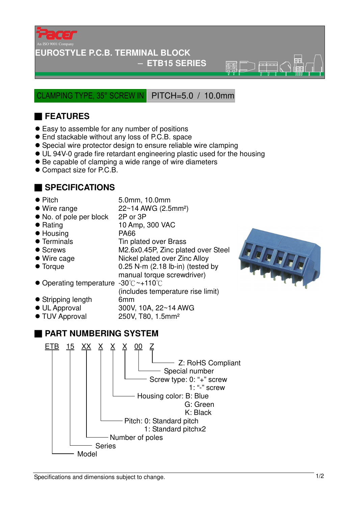

#### **EUROSTYLE P.C.B. TERMINAL BLOCK**

#### − **ETB15 SERIES**

 $\overline{\mathbb{R}}\overline{\mathbb{R}}$ 

CLAMPING TYPE, 35° SCREW IN PITCH=5.0 / 10.0mm

## ■ **FEATURES**

- Easy to assemble for any number of positions
- End stackable without any loss of P.C.B. space
- Special wire protector design to ensure reliable wire clamping
- UL 94V-0 grade fire retardant engineering plastic used for the housing
- Be capable of clamping a wide range of wire diameters
- Compact size for P.C.B.

#### ■ **SPECIFICATIONS**

- 
- Pitch 5.0mm, 10.0mm
- $\bullet$  Wire range  $22 \sim 14$  AWG (2.5mm<sup>2</sup>)
- No. of pole per block 2P or 3P
- Rating 10 Amp, 300 VAC
- Housing PA66
- Terminals Tin plated over Brass
- 
- 
- 
- Screws M2.6x0.45P, Zinc plated over Steel ● Wire cage Nickel plated over Zinc Alloy ● Torque 0.25 N-m (2.18 lb-in) (tested by
- manual torque screwdriver) ● Operating temperature -30°C ~+110°C
- (includes temperature rise limit) • Stripping length 6mm
- UL Approval 300V, 10A, 22~14 AWG
- TUV Approval 250V, T80, 1.5mm<sup>2</sup>

## ■ **PART NUMBERING SYSTEM**